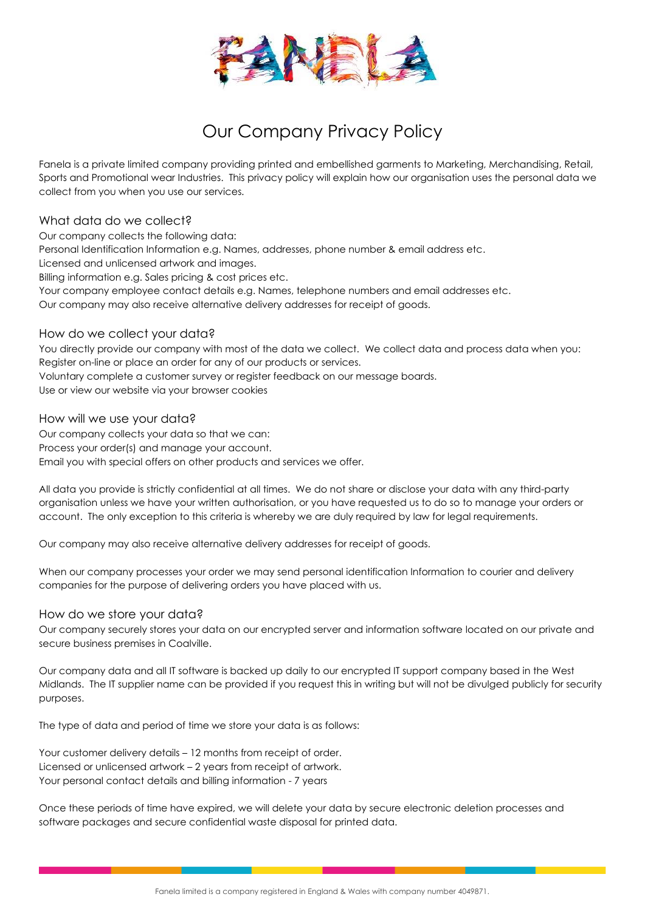

# Our Company Privacy Policy

Fanela is a private limited company providing printed and embellished garments to Marketing, Merchandising, Retail, Sports and Promotional wear Industries. This privacy policy will explain how our organisation uses the personal data we collect from you when you use our services.

## What data do we collect?

Our company collects the following data: Personal Identification Information e.g. Names, addresses, phone number & email address etc. Licensed and unlicensed artwork and images. Billing information e.g. Sales pricing & cost prices etc. Your company employee contact details e.g. Names, telephone numbers and email addresses etc. Our company may also receive alternative delivery addresses for receipt of goods.

# How do we collect your data?

You directly provide our company with most of the data we collect. We collect data and process data when you: Register on-line or place an order for any of our products or services. Voluntary complete a customer survey or register feedback on our message boards.

Use or view our website via your browser cookies

## How will we use your data?

Our company collects your data so that we can: Process your order(s) and manage your account. Email you with special offers on other products and services we offer.

All data you provide is strictly confidential at all times. We do not share or disclose your data with any third-party organisation unless we have your written authorisation, or you have requested us to do so to manage your orders or account. The only exception to this criteria is whereby we are duly required by law for legal requirements.

Our company may also receive alternative delivery addresses for receipt of goods.

When our company processes your order we may send personal identification Information to courier and delivery companies for the purpose of delivering orders you have placed with us.

## How do we store your data?

Our company securely stores your data on our encrypted server and information software located on our private and secure business premises in Coalville.

Our company data and all IT software is backed up daily to our encrypted IT support company based in the West Midlands. The IT supplier name can be provided if you request this in writing but will not be divulged publicly for security purposes.

The type of data and period of time we store your data is as follows:

Your customer delivery details – 12 months from receipt of order. Licensed or unlicensed artwork – 2 years from receipt of artwork. Your personal contact details and billing information - 7 years

Once these periods of time have expired, we will delete your data by secure electronic deletion processes and software packages and secure confidential waste disposal for printed data.